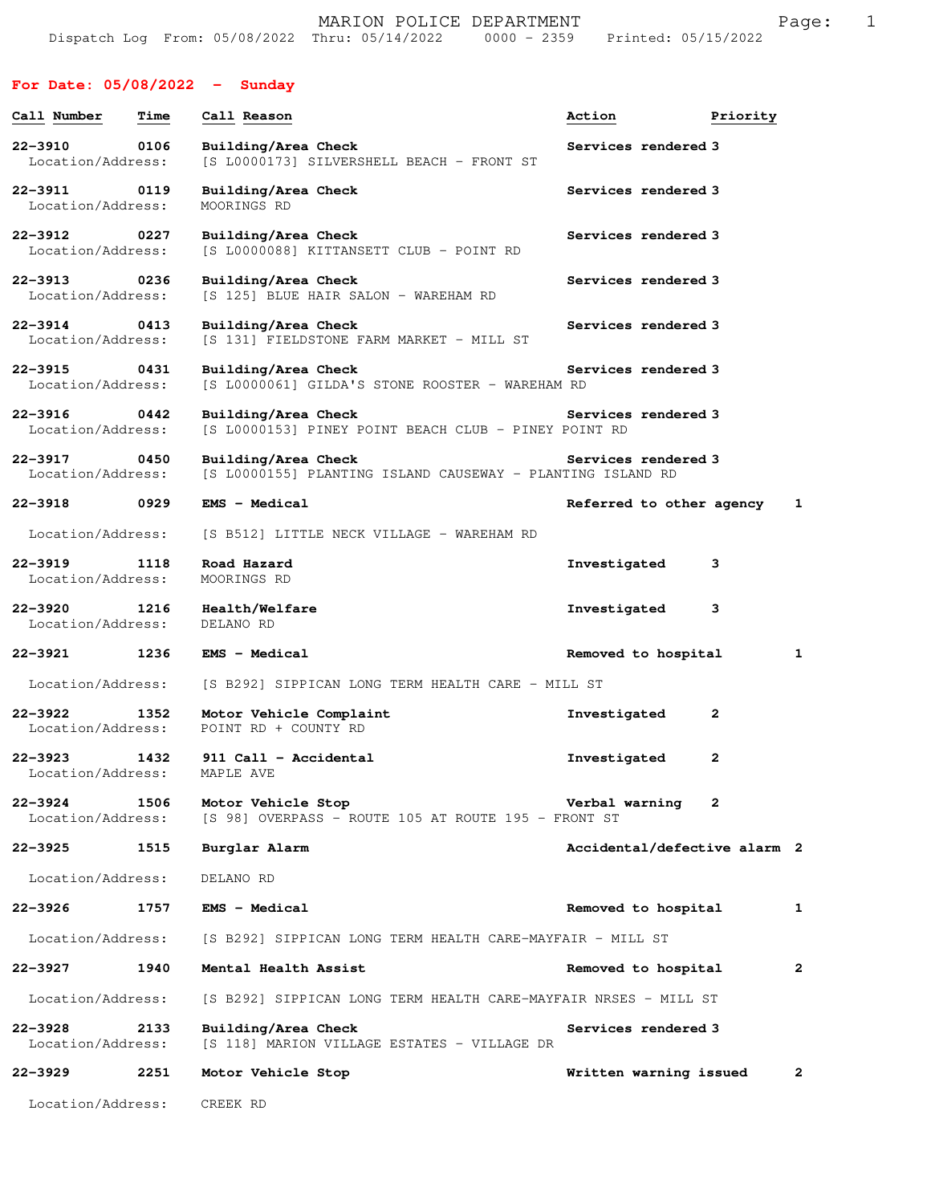## **For Date: 05/08/2022 - Sunday**

| Call Number                      | Time | Call Reason                                                                       | Action                       | Priority |                         |
|----------------------------------|------|-----------------------------------------------------------------------------------|------------------------------|----------|-------------------------|
| $22 - 3910$<br>Location/Address: | 0106 | Building/Area Check<br>[S L0000173] SILVERSHELL BEACH - FRONT ST                  | Services rendered 3          |          |                         |
| $22 - 3911$<br>Location/Address: | 0119 | Building/Area Check<br>MOORINGS RD                                                | Services rendered 3          |          |                         |
| $22 - 3912$<br>Location/Address: | 0227 | Building/Area Check<br>[S L0000088] KITTANSETT CLUB - POINT RD                    | Services rendered 3          |          |                         |
| $22 - 3913$<br>Location/Address: | 0236 | Building/Area Check<br>[S 125] BLUE HAIR SALON - WAREHAM RD                       | Services rendered 3          |          |                         |
| 22-3914<br>Location/Address:     | 0413 | Building/Area Check<br>[S 131] FIELDSTONE FARM MARKET - MILL ST                   | Services rendered 3          |          |                         |
| 22–3915<br>Location/Address:     | 0431 | Building/Area Check<br>[S L0000061] GILDA'S STONE ROOSTER - WAREHAM RD            | Services rendered 3          |          |                         |
| 22-3916<br>Location/Address:     | 0442 | Building/Area Check<br>[S L0000153] PINEY POINT BEACH CLUB - PINEY POINT RD       | Services rendered 3          |          |                         |
| $22 - 3917$<br>Location/Address: | 0450 | Building/Area Check<br>[S L0000155] PLANTING ISLAND CAUSEWAY - PLANTING ISLAND RD | Services rendered 3          |          |                         |
| $22 - 3918$                      | 0929 | <b>EMS - Medical</b>                                                              | Referred to other agency     |          | 1                       |
| Location/Address:                |      | [S B512] LITTLE NECK VILLAGE - WAREHAM RD                                         |                              |          |                         |
| 22-3919<br>Location/Address:     | 1118 | Road Hazard<br>MOORINGS RD                                                        | Investigated                 | 3        |                         |
| $22 - 3920$<br>Location/Address: | 1216 | Health/Welfare<br>DELANO RD                                                       | Investigated                 | 3        |                         |
| 22-3921                          | 1236 | <b>EMS - Medical</b>                                                              | Removed to hospital          |          | 1                       |
| Location/Address:                |      | [S B292] SIPPICAN LONG TERM HEALTH CARE - MILL ST                                 |                              |          |                         |
| $22 - 3922$<br>Location/Address: | 1352 | Motor Vehicle Complaint<br>POINT RD + COUNTY RD                                   | Investigated                 | 2        |                         |
| $22 - 3923$<br>Location/Address: | 1432 | 911 Call - Accidental<br>MAPLE AVE                                                | Investigated                 | 2        |                         |
| $22 - 3924$<br>Location/Address: | 1506 | Motor Vehicle Stop<br>[S 98] OVERPASS - ROUTE 105 AT ROUTE 195 - FRONT ST         | Verbal warning               | 2        |                         |
| 22-3925                          | 1515 | Burglar Alarm                                                                     | Accidental/defective alarm 2 |          |                         |
| Location/Address:                |      | DELANO RD                                                                         |                              |          |                         |
| 22-3926                          | 1757 | <b>EMS - Medical</b>                                                              | Removed to hospital          |          | 1                       |
| Location/Address:                |      | [S B292] SIPPICAN LONG TERM HEALTH CARE-MAYFAIR - MILL ST                         |                              |          |                         |
| 22-3927                          | 1940 | Mental Health Assist                                                              | Removed to hospital          |          | $\overline{\mathbf{2}}$ |
| Location/Address:                |      | [S B292] SIPPICAN LONG TERM HEALTH CARE-MAYFAIR NRSES - MILL ST                   |                              |          |                         |
| $22 - 3928$<br>Location/Address: | 2133 | Building/Area Check<br>[S 118] MARION VILLAGE ESTATES - VILLAGE DR                | Services rendered 3          |          |                         |
| 22-3929                          | 2251 | Motor Vehicle Stop                                                                | Written warning issued       |          | 2                       |
| Location/Address:                |      | CREEK RD                                                                          |                              |          |                         |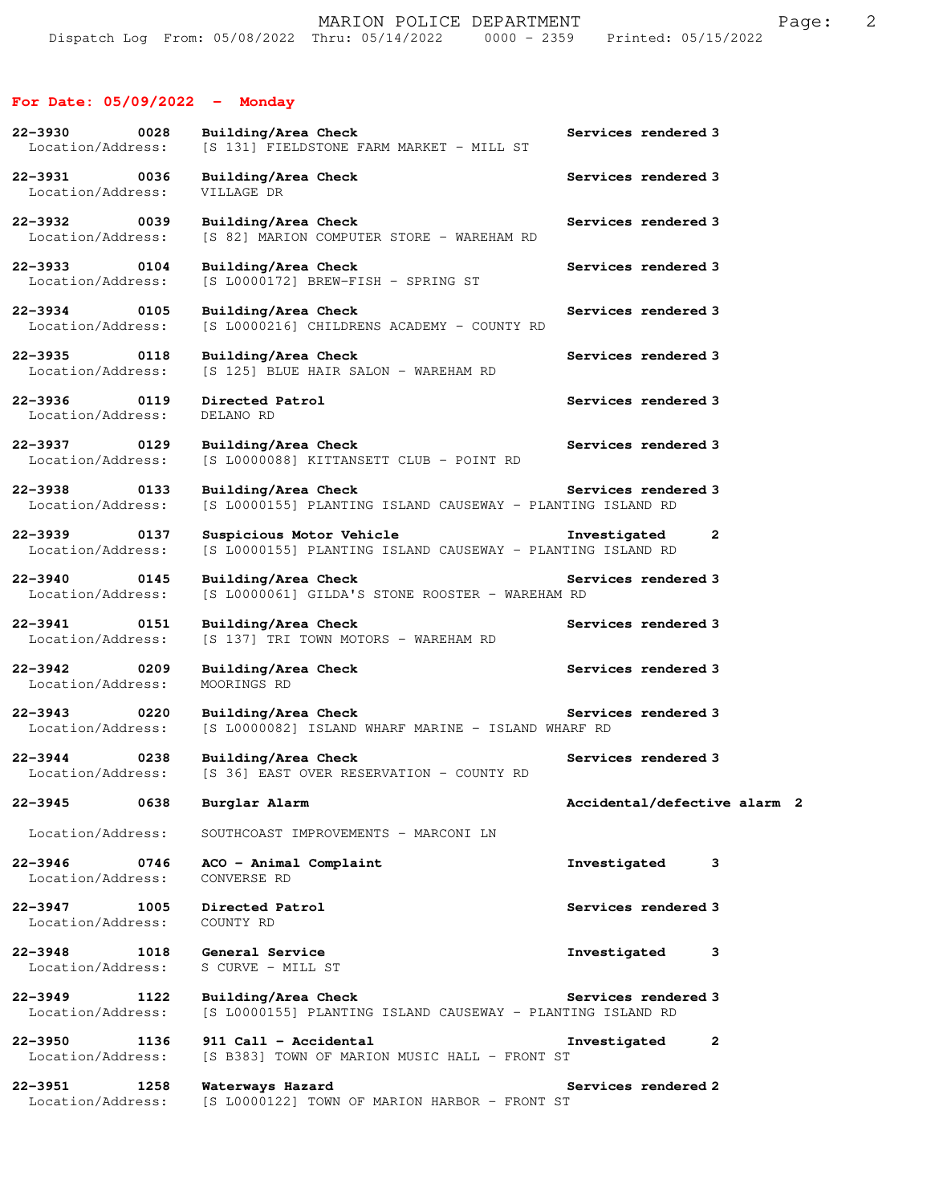## **For Date: 05/09/2022 - Monday**

| 22-3930<br>0028<br>Location/Address:                  | Building/Area Check<br>[S 131] FIELDSTONE FARM MARKET - MILL ST                        | Services rendered 3          |
|-------------------------------------------------------|----------------------------------------------------------------------------------------|------------------------------|
| 22-3931<br>0036<br>Location/Address:                  | Building/Area Check<br>VILLAGE DR                                                      | Services rendered 3          |
| 22-3932 0039<br>Location/Address:                     | Building/Area Check<br>[S 82] MARION COMPUTER STORE - WAREHAM RD                       | Services rendered 3          |
| 0104<br>22-3933<br>Location/Address:                  | Building/Area Check<br>$[S L0000172]$ BREW-FISH - SPRING ST                            | Services rendered 3          |
| 22-3934 0105<br>Location/Address:                     | Building/Area Check<br>[S L0000216] CHILDRENS ACADEMY - COUNTY RD                      | Services rendered 3          |
| 22-3935<br>0118<br>Location/Address:                  | Building/Area Check<br>[S 125] BLUE HAIR SALON - WAREHAM RD                            | Services rendered 3          |
| 22-3936 0119<br>Location/Address:                     | Directed Patrol<br>DELANO RD                                                           | Services rendered 3          |
| 22-3937 0129<br>Location/Address:                     | Building/Area Check<br>[S L0000088] KITTANSETT CLUB - POINT RD                         | Services rendered 3          |
| $22 - 3938$<br>0133<br>Location/Address:              | Building/Area Check<br>[S L0000155] PLANTING ISLAND CAUSEWAY - PLANTING ISLAND RD      | Services rendered 3          |
| 22-3939<br>0137<br>Location/Address:                  | Suspicious Motor Vehicle<br>[S L0000155] PLANTING ISLAND CAUSEWAY - PLANTING ISLAND RD | Investigated<br>$\mathbf{2}$ |
| $22 - 3940$<br>0145<br>Location/Address:              | Building/Area Check<br>[S L0000061] GILDA'S STONE ROOSTER - WAREHAM RD                 | Services rendered 3          |
| 22-3941<br>0151<br>Location/Address:                  | Building/Area Check<br>[S 137] TRI TOWN MOTORS - WAREHAM RD                            | Services rendered 3          |
| 22-3942<br>0209<br>Location/Address:                  | Building/Area Check<br>MOORINGS RD                                                     | Services rendered 3          |
| $22 - 3943$<br>$\overline{0220}$<br>Location/Address: | Building/Area Check<br>[S L0000082] ISLAND WHARF MARINE - ISLAND WHARF RD              | Services rendered 3          |
| 22-3944<br>0238<br>Location/Address:                  | Building/Area Check<br>[S 36] EAST OVER RESERVATION - COUNTY RD                        | Services rendered 3          |
| 22-3945 0638                                          | Burglar Alarm                                                                          | Accidental/defective alarm 2 |
| Location/Address:                                     | SOUTHCOAST IMPROVEMENTS - MARCONI LN                                                   |                              |
| 22-3946 0746<br>Location/Address:                     | ACO - Animal Complaint<br>CONVERSE RD                                                  | Investigated<br>3            |
| $22 - 3947$<br>1005<br>Location/Address:              | Directed Patrol<br>COUNTY RD                                                           | Services rendered 3          |
| $22 - 3948$<br>1018<br>Location/Address:              | General Service<br>S CURVE - MILL ST                                                   | Investigated<br>3            |
| 22-3949<br>1122<br>Location/Address:                  | Building/Area Check<br>[S L0000155] PLANTING ISLAND CAUSEWAY - PLANTING ISLAND RD      | Services rendered 3          |
| 22-3950<br>1136<br>Location/Address:                  | 911 Call - Accidental<br>[S B383] TOWN OF MARION MUSIC HALL - FRONT ST                 | Investigated<br>2            |
| 22-3951<br>1258<br>Location/Address:                  | Waterways Hazard<br>[S L0000122] TOWN OF MARION HARBOR - FRONT ST                      | Services rendered 2          |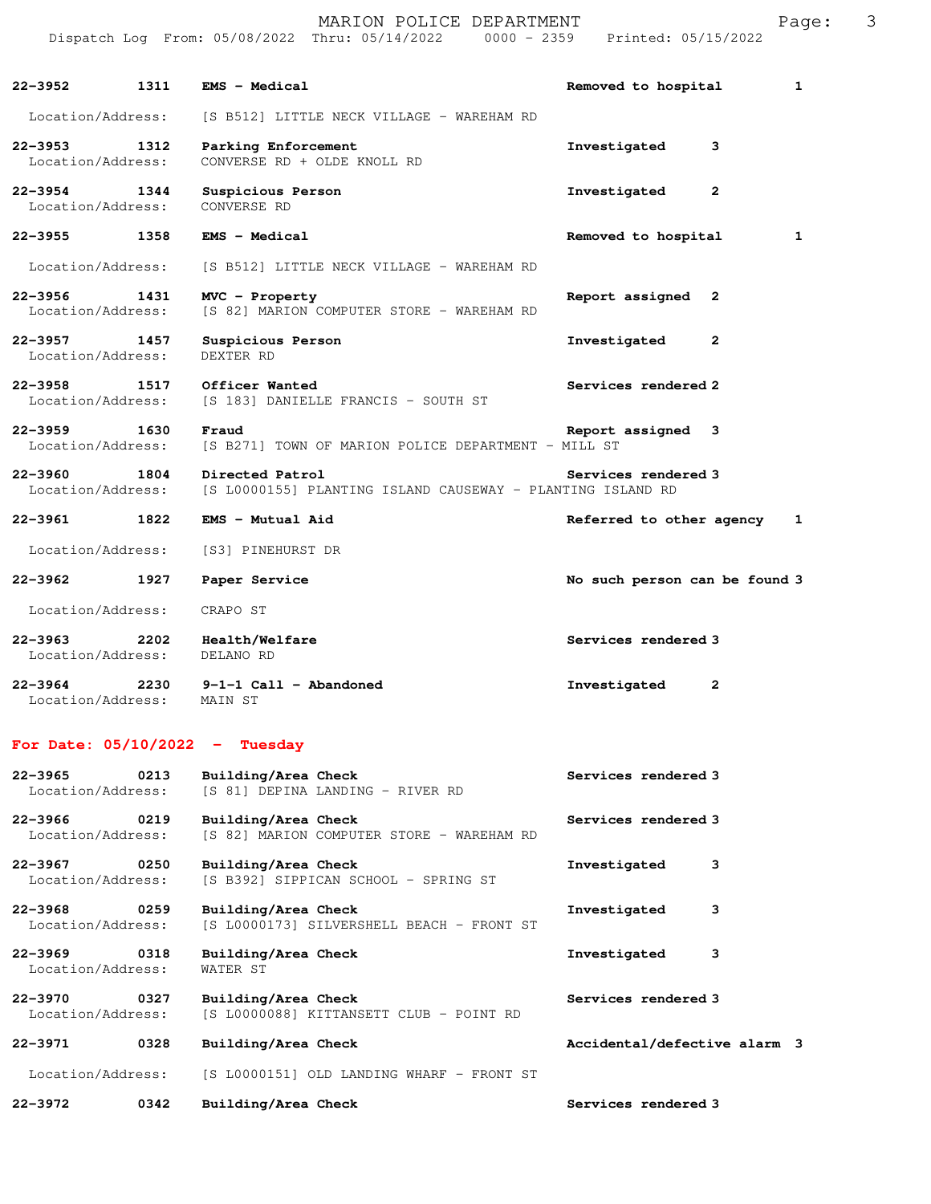| 1311<br>22-3952                      | EMS - Medical                                                                 | $\mathbf{1}$<br>Removed to hospital |
|--------------------------------------|-------------------------------------------------------------------------------|-------------------------------------|
| Location/Address:                    | [S B512] LITTLE NECK VILLAGE - WAREHAM RD                                     |                                     |
| 1312<br>Location/Address:            | Parking Enforcement<br>CONVERSE RD + OLDE KNOLL RD                            | Investigated<br>3                   |
| 22–3954 1344<br>Location/Address:    | Suspicious Person<br>CONVERSE RD                                              | Investigated<br>$\mathbf{2}$        |
| 22-3955 1358                         | EMS - Medical                                                                 | Removed to hospital<br>1            |
| Location/Address:                    | [S B512] LITTLE NECK VILLAGE - WAREHAM RD                                     |                                     |
| 22–3956<br>1431<br>Location/Address: | MVC - Property<br>[S 82] MARION COMPUTER STORE - WAREHAM RD                   | Report assigned 2                   |
| 22-3957 1457<br>Location/Address:    | Suspicious Person<br>DEXTER RD                                                | Investigated<br>2                   |
| 22-3958 1517 Officer Wanted          | Location/Address: [S 183] DANIELLE FRANCIS - SOUTH ST                         | Services rendered 2                 |
| 22-3959 1630<br>Location/Address:    | Fraud<br>[S B271] TOWN OF MARION POLICE DEPARTMENT - MILL ST                  | Report assigned 3                   |
| 22-3960<br>1804<br>Location/Address: | Directed Patrol<br>[S L0000155] PLANTING ISLAND CAUSEWAY - PLANTING ISLAND RD | Services rendered 3                 |
| 22-3961 22-3961 22-39<br>1822        | EMS - Mutual Aid                                                              | Referred to other agency 1          |
| Location/Address:                    | [S3] PINEHURST DR                                                             |                                     |
| 22–3962<br>1927                      | Paper Service                                                                 | No such person can be found 3       |
| Location/Address:                    | CRAPO ST                                                                      |                                     |
| 22-3963<br>2202<br>Location/Address: | Health/Welfare<br>DELANO RD                                                   | Services rendered 3                 |
| Location/Address:                    | 22-3964 2230 9-1-1 Call - Abandoned<br>MAIN ST                                | Investigated<br>2                   |

## **For Date: 05/10/2022 - Tuesday**

| $22 - 3965$                      | 0213 | Building/Area Check                                              | Services rendered 3          |  |
|----------------------------------|------|------------------------------------------------------------------|------------------------------|--|
| Location/Address:                |      | [S 81] DEPINA LANDING - RIVER RD                                 |                              |  |
| $22 - 3966$                      | 0219 | Building/Area Check                                              | Services rendered 3          |  |
| Location/Address:                |      | [S 82] MARION COMPUTER STORE - WAREHAM RD                        |                              |  |
| $22 - 3967$<br>Location/Address: | 0250 | Building/Area Check<br>[S B392] SIPPICAN SCHOOL - SPRING ST      | з<br>Investigated            |  |
| 22-3968<br>Location/Address:     | 0259 | Building/Area Check<br>[S L0000173] SILVERSHELL BEACH - FRONT ST | з<br>Investigated            |  |
| $22 - 3969$<br>Location/Address: | 0318 | Building/Area Check<br>WATER ST                                  | 3<br>Investigated            |  |
| 22-3970<br>Location/Address:     | 0327 | Building/Area Check<br>[S L0000088] KITTANSETT CLUB - POINT RD   | Services rendered 3          |  |
| $22 - 3971$                      | 0328 | Building/Area Check                                              | Accidental/defective alarm 3 |  |
| Location/Address:                |      | [S L0000151] OLD LANDING WHARF - FRONT ST                        |                              |  |
| $22 - 3972$                      | 0342 | Building/Area Check                                              | Services rendered 3          |  |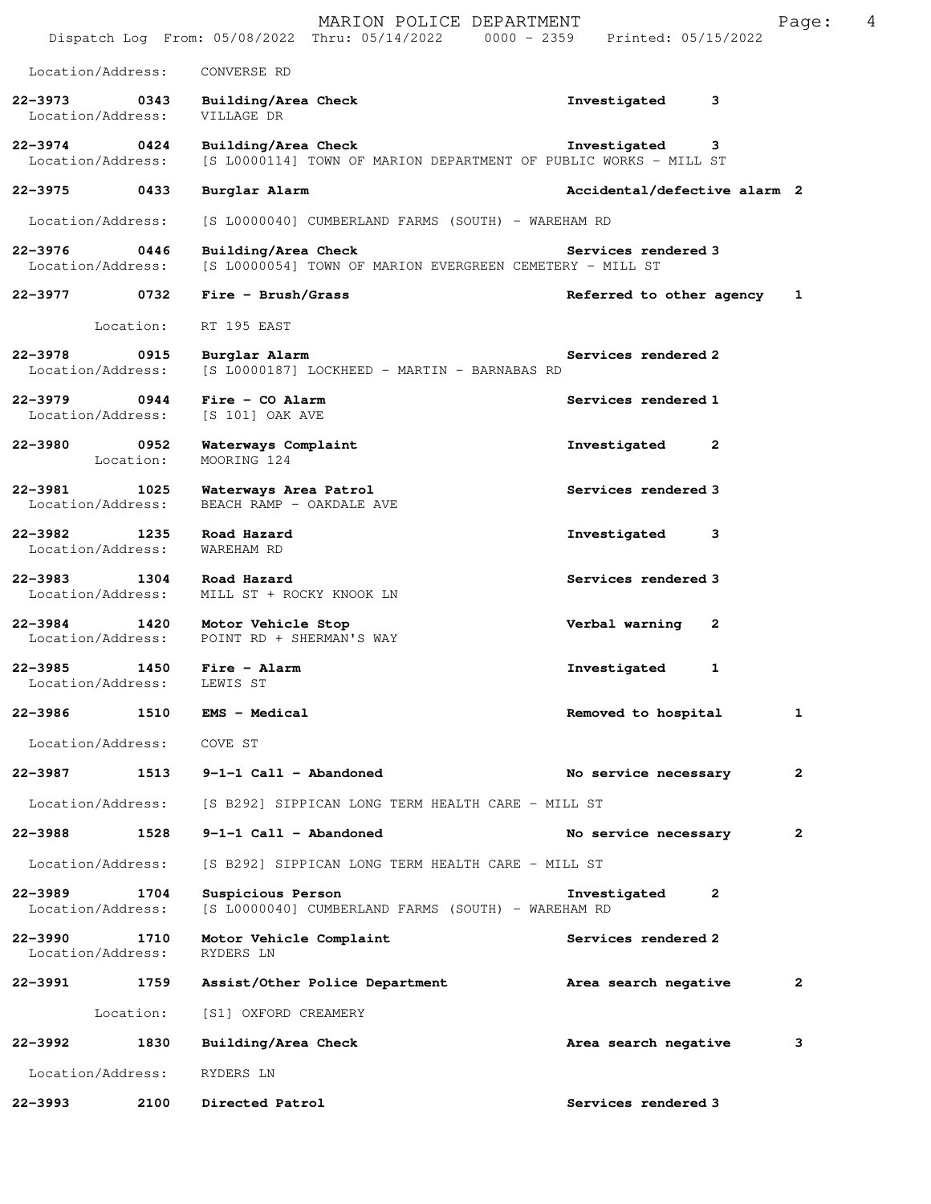|                                  |                   | MARION POLICE DEPARTMENT<br>Dispatch Log From: 05/08/2022 Thru: 05/14/2022 0000 - 2359  | Printed: 05/15/2022          | 4<br>Page: |
|----------------------------------|-------------------|-----------------------------------------------------------------------------------------|------------------------------|------------|
| Location/Address:                |                   | CONVERSE RD                                                                             |                              |            |
| 22-3973<br>Location/Address:     | 0343              | Building/Area Check<br>VILLAGE DR                                                       | Investigated<br>3            |            |
| $22 - 3974$<br>Location/Address: | 0424              | Building/Area Check<br>[S L0000114] TOWN OF MARION DEPARTMENT OF PUBLIC WORKS - MILL ST | Investigated<br>3            |            |
| 22-3975                          | 0433              | Burglar Alarm                                                                           | Accidental/defective alarm 2 |            |
| Location/Address:                |                   | [S L0000040] CUMBERLAND FARMS (SOUTH) - WAREHAM RD                                      |                              |            |
| $22 - 3976$<br>Location/Address: | 0446              | Building/Area Check<br>[S L0000054] TOWN OF MARION EVERGREEN CEMETERY - MILL ST         | Services rendered 3          |            |
| 22–3977 0732                     |                   | $Fire - Brush/Grass$                                                                    | Referred to other agency     | 1          |
|                                  | Location:         | RT 195 EAST                                                                             |                              |            |
| $22 - 3978$<br>Location/Address: | 0915              | Burglar Alarm<br>[S L0000187] LOCKHEED - MARTIN - BARNABAS RD                           | Services rendered 2          |            |
| 22-3979<br>Location/Address:     | 0944              | $Fire - CO$ Alarm<br>[S 101] OAK AVE                                                    | Services rendered 1          |            |
| $22 - 3980$                      | 0952<br>Location: | Waterways Complaint<br>MOORING 124                                                      | Investigated<br>2            |            |
| $22 - 3981$<br>Location/Address: | 1025              | Waterways Area Patrol<br>BEACH RAMP - OAKDALE AVE                                       | Services rendered 3          |            |
| $22 - 3982$<br>Location/Address: | 1235              | Road Hazard<br>WAREHAM RD                                                               | Investigated<br>3            |            |
| $22 - 3983$<br>Location/Address: | 1304              | Road Hazard<br>MILL ST + ROCKY KNOOK LN                                                 | Services rendered 3          |            |
| 22-3984<br>Location/Address:     | 1420              | Motor Vehicle Stop<br>POINT RD + SHERMAN'S WAY                                          | Verbal warning<br>2          |            |
| $22 - 3985$<br>Location/Address: | 1450              | Fire - Alarm<br>LEWIS ST                                                                | Investigated<br>1            |            |
| 22-3986                          | 1510              | EMS - Medical                                                                           | Removed to hospital          | 1          |
| Location/Address:                |                   | COVE ST                                                                                 |                              |            |
| 22-3987                          | 1513              | 9-1-1 Call - Abandoned                                                                  | No service necessary         | 2          |
| Location/Address:                |                   | [S B292] SIPPICAN LONG TERM HEALTH CARE - MILL ST                                       |                              |            |
| 22-3988                          | 1528              | $9-1-1$ Call - Abandoned                                                                | No service necessary         | 2          |
| Location/Address:                |                   | [S B292] SIPPICAN LONG TERM HEALTH CARE - MILL ST                                       |                              |            |
| $22 - 3989$<br>Location/Address: | 1704              | Suspicious Person<br>[S L0000040] CUMBERLAND FARMS (SOUTH) - WAREHAM RD                 | 2<br>Investigated            |            |
| 22-3990<br>Location/Address:     | 1710              | Motor Vehicle Complaint<br>RYDERS LN                                                    | Services rendered 2          |            |
| 22-3991                          | 1759              | Assist/Other Police Department                                                          | Area search negative         | 2          |
|                                  | Location:         | [S1] OXFORD CREAMERY                                                                    |                              |            |
| 22-3992                          | 1830              | Building/Area Check                                                                     | Area search negative         | 3          |
| Location/Address:                |                   | RYDERS LN                                                                               |                              |            |
| 22-3993                          | 2100              | Directed Patrol                                                                         | Services rendered 3          |            |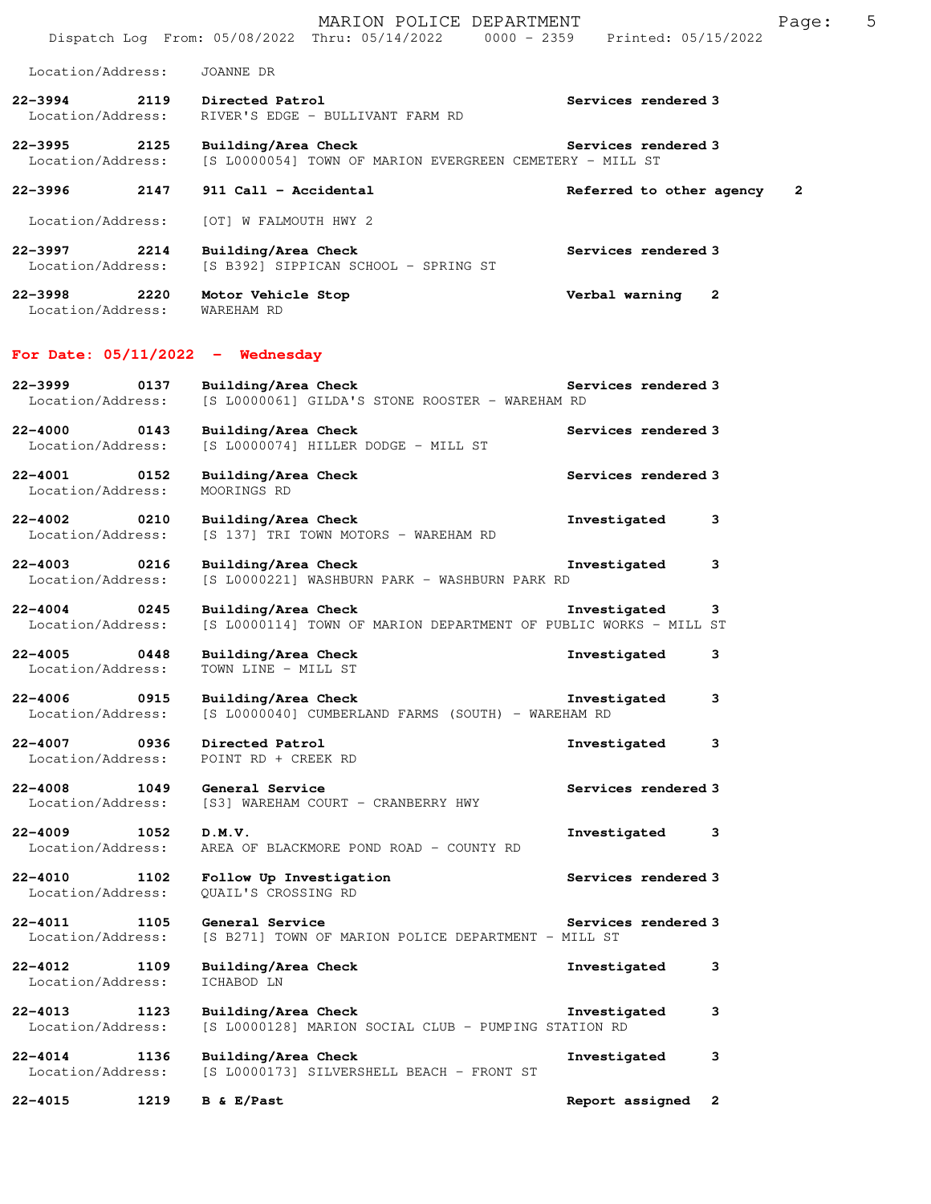| Location/Address:                        | JOANNE DR                                                                               |                          |              |
|------------------------------------------|-----------------------------------------------------------------------------------------|--------------------------|--------------|
| 22-3994 2119<br>Location/Address:        | Directed Patrol<br>RIVER'S EDGE - BULLIVANT FARM RD                                     | Services rendered 3      |              |
| 22-3995 2125<br>Location/Address:        | Building/Area Check<br>[S L0000054] TOWN OF MARION EVERGREEN CEMETERY - MILL ST         | Services rendered 3      |              |
| 22-3996<br>2147                          | 911 Call - Accidental                                                                   | Referred to other agency | 2            |
| Location/Address:                        | [OT] W FALMOUTH HWY 2                                                                   |                          |              |
| 22-3997 2214<br>Location/Address:        | Building/Area Check<br>[S B392] SIPPICAN SCHOOL - SPRING ST                             | Services rendered 3      |              |
| 22-3998<br>2220<br>Location/Address:     | Motor Vehicle Stop<br>WAREHAM RD                                                        | Verbal warning           | $\mathbf{2}$ |
| For Date: $05/11/2022 -$ Wednesday       |                                                                                         |                          |              |
| 22–3999<br>0137<br>Location/Address:     | Building/Area Check<br>[S L0000061] GILDA'S STONE ROOSTER - WAREHAM RD                  | Services rendered 3      |              |
| 22-4000 0143<br>Location/Address:        | Building/Area Check<br>[S L0000074] HILLER DODGE - MILL ST                              | Services rendered 3      |              |
| $22 - 4001$<br>0152<br>Location/Address: | Building/Area Check<br>MOORINGS RD                                                      | Services rendered 3      |              |
| 22-4002 0210<br>Location/Address:        | Building/Area Check<br>[S 137] TRI TOWN MOTORS - WAREHAM RD                             | Investigated             | 3            |
| $22 - 4003$<br>0216<br>Location/Address: | Building/Area Check<br>[S L0000221] WASHBURN PARK - WASHBURN PARK RD                    | Investigated             | 3            |
| $22 - 4004$<br>0245<br>Location/Address: | Building/Area Check<br>[S L0000114] TOWN OF MARION DEPARTMENT OF PUBLIC WORKS - MILL ST | Investigated             | 3            |
| 0448<br>$22 - 4005$<br>Location/Address: | Building/Area Check<br>TOWN LINE - MILL ST                                              | Investigated             | 3            |
| $22 - 4006$<br>0915<br>Location/Address: | Building/Area Check<br>[S L0000040] CUMBERLAND FARMS (SOUTH) - WAREHAM RD               | Investigated             | 3            |
| 22-4007 0936<br>Location/Address:        | Directed Patrol<br>POINT RD + CREEK RD                                                  | Investigated             | з            |
| $22 - 4008$<br>1049<br>Location/Address: | General Service<br>[S3] WAREHAM COURT - CRANBERRY HWY                                   | Services rendered 3      |              |
| $22 - 4009$<br>1052<br>Location/Address: | D.M.V.<br>AREA OF BLACKMORE POND ROAD - COUNTY RD                                       | Investigated             | 3            |
| 22-4010<br>1102<br>Location/Address:     | Follow Up Investigation<br>OUAIL'S CROSSING RD                                          | Services rendered 3      |              |
| $22 - 4011$<br>1105<br>Location/Address: | General Service<br>[S B271] TOWN OF MARION POLICE DEPARTMENT - MILL ST                  | Services rendered 3      |              |
| 22-4012<br>1109<br>Location/Address:     | Building/Area Check<br>ICHABOD LN                                                       | Investigated             | 3            |
| $22 - 4013$<br>1123<br>Location/Address: | Building/Area Check<br>[S L0000128] MARION SOCIAL CLUB - PUMPING STATION RD             | Investigated             | 3            |
| 22-4014<br>1136<br>Location/Address:     | Building/Area Check<br>[S L0000173] SILVERSHELL BEACH - FRONT ST                        | Investigated             | 3            |
| $22 - 4015$<br>1219                      | B & E/Past                                                                              | Report assigned          | 2            |

Dispatch Log From: 05/08/2022 Thru: 05/14/2022 0000 - 2359 Printed: 05/15/2022

MARION POLICE DEPARTMENT FRAGE: 5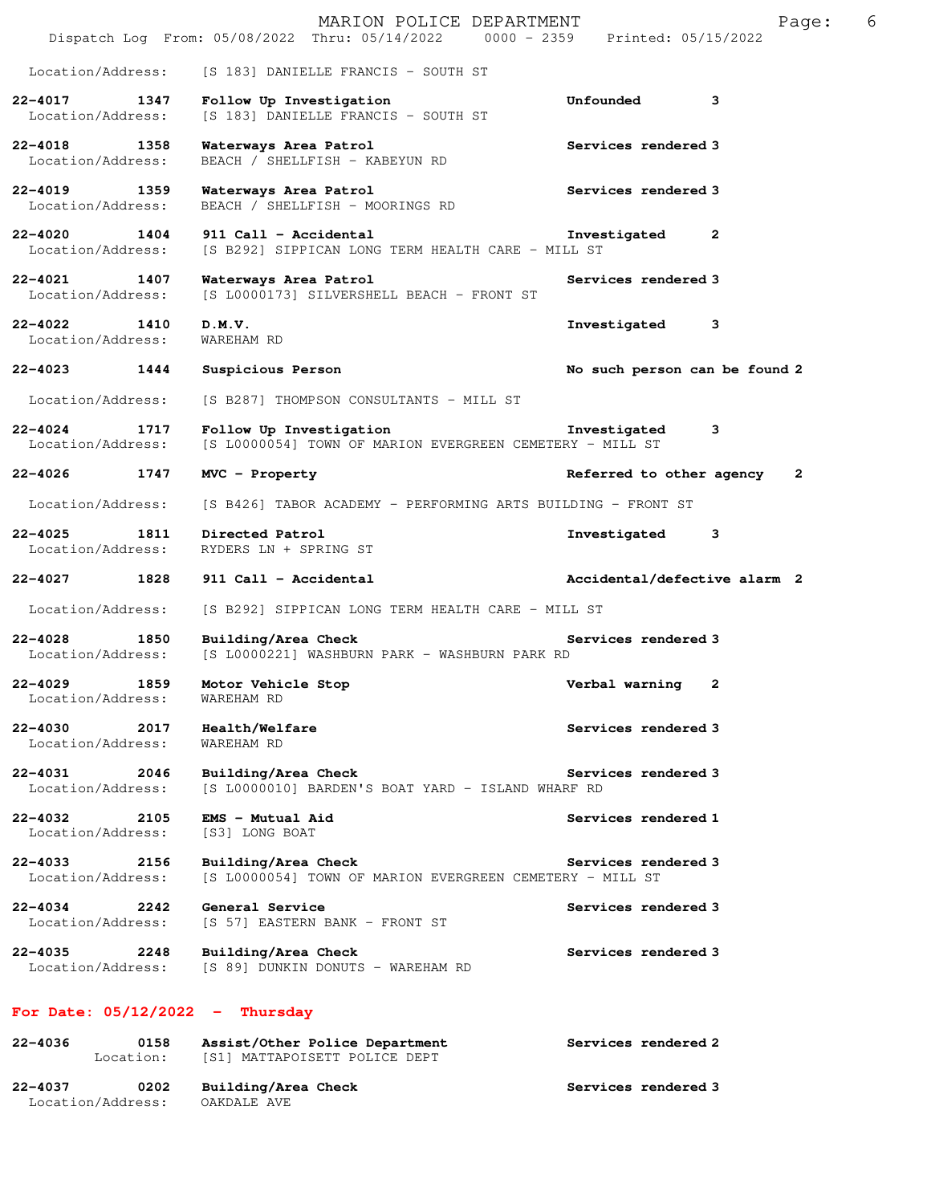|                                          |      | MARION POLICE DEPARTMENT<br>Dispatch Log From: 05/08/2022 Thru: 05/14/2022 0000 - 2359 Printed: 05/15/2022 |                               | 6<br>Page:   |
|------------------------------------------|------|------------------------------------------------------------------------------------------------------------|-------------------------------|--------------|
| Location/Address:                        |      | [S 183] DANIELLE FRANCIS - SOUTH ST                                                                        |                               |              |
| $22 - 4017$<br>1347<br>Location/Address: |      | Follow Up Investigation<br>[S 183] DANIELLE FRANCIS - SOUTH ST                                             | 3<br>Unfounded                |              |
| 22-4018 1358<br>Location/Address:        |      | Waterways Area Patrol<br>BEACH / SHELLFISH - KABEYUN RD                                                    | Services rendered 3           |              |
| 22-4019<br>1359<br>Location/Address:     |      | Waterways Area Patrol<br>BEACH / SHELLFISH - MOORINGS RD                                                   | Services rendered 3           |              |
| 22-4020 1404<br>Location/Address:        |      | 911 Call - Accidental<br>[S B292] SIPPICAN LONG TERM HEALTH CARE - MILL ST                                 | Investigated<br>$\mathbf{2}$  |              |
| 22-4021<br>Location/Address:             | 1407 | Waterways Area Patrol<br>[S L0000173] SILVERSHELL BEACH - FRONT ST                                         | Services rendered 3           |              |
| 22-4022 1410<br>Location/Address:        |      | D.M.V.<br>WAREHAM RD                                                                                       | Investigated<br>3             |              |
| 22-4023 1444                             |      | Suspicious Person                                                                                          | No such person can be found 2 |              |
| Location/Address:                        |      | [S B287] THOMPSON CONSULTANTS - MILL ST                                                                    |                               |              |
| $22 - 4024$<br>Location/Address:         | 1717 | Follow Up Investigation<br>[S L0000054] TOWN OF MARION EVERGREEN CEMETERY - MILL ST                        | Investigated<br>3             |              |
| 22-4026 1747                             |      | MVC - Property                                                                                             | Referred to other agency      | $\mathbf{2}$ |
| Location/Address:                        |      | [S B426] TABOR ACADEMY - PERFORMING ARTS BUILDING - FRONT ST                                               |                               |              |
| $22 - 4025$<br>Location/Address:         | 1811 | Directed Patrol<br>RYDERS LN + SPRING ST                                                                   | 3<br>Investigated             |              |
|                                          |      |                                                                                                            |                               |              |
| 22-4027<br>1828                          |      | 911 Call - Accidental                                                                                      | Accidental/defective alarm 2  |              |
| Location/Address:                        |      | [S B292] SIPPICAN LONG TERM HEALTH CARE - MILL ST                                                          |                               |              |
| $22 - 4028$<br>1850<br>Location/Address: |      | Building/Area Check<br>[S L0000221] WASHBURN PARK - WASHBURN PARK RD                                       | Services rendered 3           |              |
| $22 - 4029$<br>Location/Address:         | 1859 | Motor Vehicle Stop<br>WAREHAM RD                                                                           | Verbal warning<br>2           |              |
| $22 - 4030$<br>Location/Address:         | 2017 | Health/Welfare<br>WAREHAM RD                                                                               | Services rendered 3           |              |
| 22-4031<br>Location/Address:             | 2046 | Building/Area Check<br>[S L0000010] BARDEN'S BOAT YARD - ISLAND WHARF RD                                   | Services rendered 3           |              |
| $22 - 4032$<br>Location/Address:         | 2105 | EMS - Mutual Aid<br>[S3] LONG BOAT                                                                         | Services rendered 1           |              |
| 22-4033<br>Location/Address:             | 2156 | Building/Area Check<br>[S L0000054] TOWN OF MARION EVERGREEN CEMETERY - MILL ST                            | Services rendered 3           |              |
| $22 - 4034$<br>Location/Address:         | 2242 | General Service<br>[S 57] EASTERN BANK - FRONT ST                                                          | Services rendered 3           |              |
| 22-4035<br>Location/Address:             | 2248 | Building/Area Check<br>[S 89] DUNKIN DONUTS - WAREHAM RD                                                   | Services rendered 3           |              |
| For Date: $05/12/2022 -$                 |      | Thursday                                                                                                   |                               |              |
| 22-4036<br>Location:                     | 0158 | Assist/Other Police Department<br>[S1] MATTAPOISETT POLICE DEPT                                            | Services rendered 2           |              |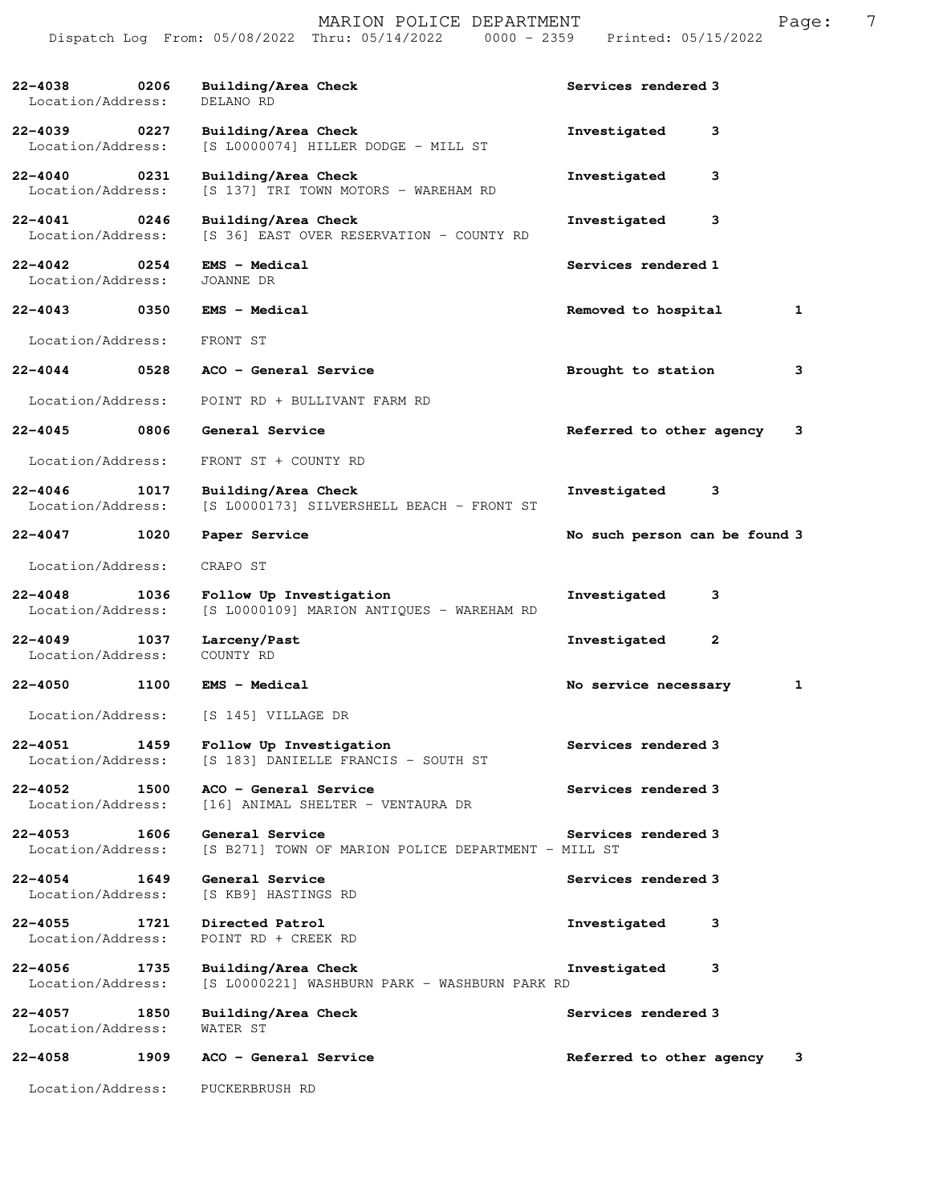|                                  |      | MARION POLICE DEPARTMENT<br>$0000 - 2359$<br>Dispatch Log From: 05/08/2022 Thru: 05/14/2022 | Printed: 05/15/2022           | 7<br>Page: |
|----------------------------------|------|---------------------------------------------------------------------------------------------|-------------------------------|------------|
| $22 - 4038$<br>Location/Address: | 0206 | Building/Area Check<br>DELANO RD                                                            | Services rendered 3           |            |
| $22 - 4039$<br>Location/Address: | 0227 | Building/Area Check<br>[S L0000074] HILLER DODGE - MILL ST                                  | Investigated<br>3             |            |
| $22 - 4040$<br>Location/Address: | 0231 | Building/Area Check<br>[S 137] TRI TOWN MOTORS - WAREHAM RD                                 | Investigated<br>з             |            |
| $22 - 4041$<br>Location/Address: | 0246 | Building/Area Check<br>[S 36] EAST OVER RESERVATION - COUNTY RD                             | 3<br>Investigated             |            |
| $22 - 4042$<br>Location/Address: | 0254 | <b>EMS - Medical</b><br>JOANNE DR                                                           | Services rendered 1           |            |
| $22 - 4043$                      | 0350 | EMS - Medical                                                                               | Removed to hospital           | 1          |
| Location/Address:                |      | FRONT ST                                                                                    |                               |            |
| $22 - 4044$                      | 0528 | ACO - General Service                                                                       | Brought to station            | 3          |
| Location/Address:                |      | POINT RD + BULLIVANT FARM RD                                                                |                               |            |
| $22 - 4045$                      | 0806 | General Service                                                                             | Referred to other agency      | 3          |
| Location/Address:                |      | FRONT ST + COUNTY RD                                                                        |                               |            |
| $22 - 4046$<br>Location/Address: | 1017 | Building/Area Check<br>[S L0000173] SILVERSHELL BEACH - FRONT ST                            | Investigated<br>3             |            |
| $22 - 4047$                      | 1020 | Paper Service                                                                               | No such person can be found 3 |            |
| Location/Address:                |      | CRAPO ST                                                                                    |                               |            |
| $22 - 4048$<br>Location/Address: | 1036 | Follow Up Investigation<br>[S L0000109] MARION ANTIQUES - WAREHAM RD                        | Investigated<br>з             |            |
| $22 - 4049$<br>Location/Address: | 1037 | Larceny/Past<br>COUNTY RD                                                                   | $\mathbf{2}$<br>Investigated  |            |
| $22 - 4050$                      | 1100 | <b>EMS - Medical</b>                                                                        | No service necessary          | 1          |
| Location/Address:                |      | [S 145] VILLAGE DR                                                                          |                               |            |
| $22 - 4051$<br>Location/Address: | 1459 | Follow Up Investigation<br>[S 183] DANIELLE FRANCIS - SOUTH ST                              | Services rendered 3           |            |
| $22 - 4052$<br>Location/Address: | 1500 | ACO - General Service<br>[16] ANIMAL SHELTER - VENTAURA DR                                  | Services rendered 3           |            |
| $22 - 4053$<br>Location/Address: | 1606 | General Service<br>[S B271] TOWN OF MARION POLICE DEPARTMENT - MILL ST                      | Services rendered 3           |            |
| $22 - 4054$<br>Location/Address: | 1649 | General Service<br>[S KB9] HASTINGS RD                                                      | Services rendered 3           |            |
| $22 - 4055$<br>Location/Address: | 1721 | Directed Patrol<br>POINT RD + CREEK RD                                                      | Investigated<br>3             |            |
| $22 - 4056$<br>Location/Address: | 1735 | Building/Area Check<br>[S L0000221] WASHBURN PARK - WASHBURN PARK RD                        | Investigated<br>3             |            |
| $22 - 4057$<br>Location/Address: | 1850 | Building/Area Check<br>WATER ST                                                             | Services rendered 3           |            |
| $22 - 4058$                      | 1909 | ACO - General Service                                                                       | Referred to other agency      | 3          |
|                                  |      | Location/Address: PUCKERBRUSH RD                                                            |                               |            |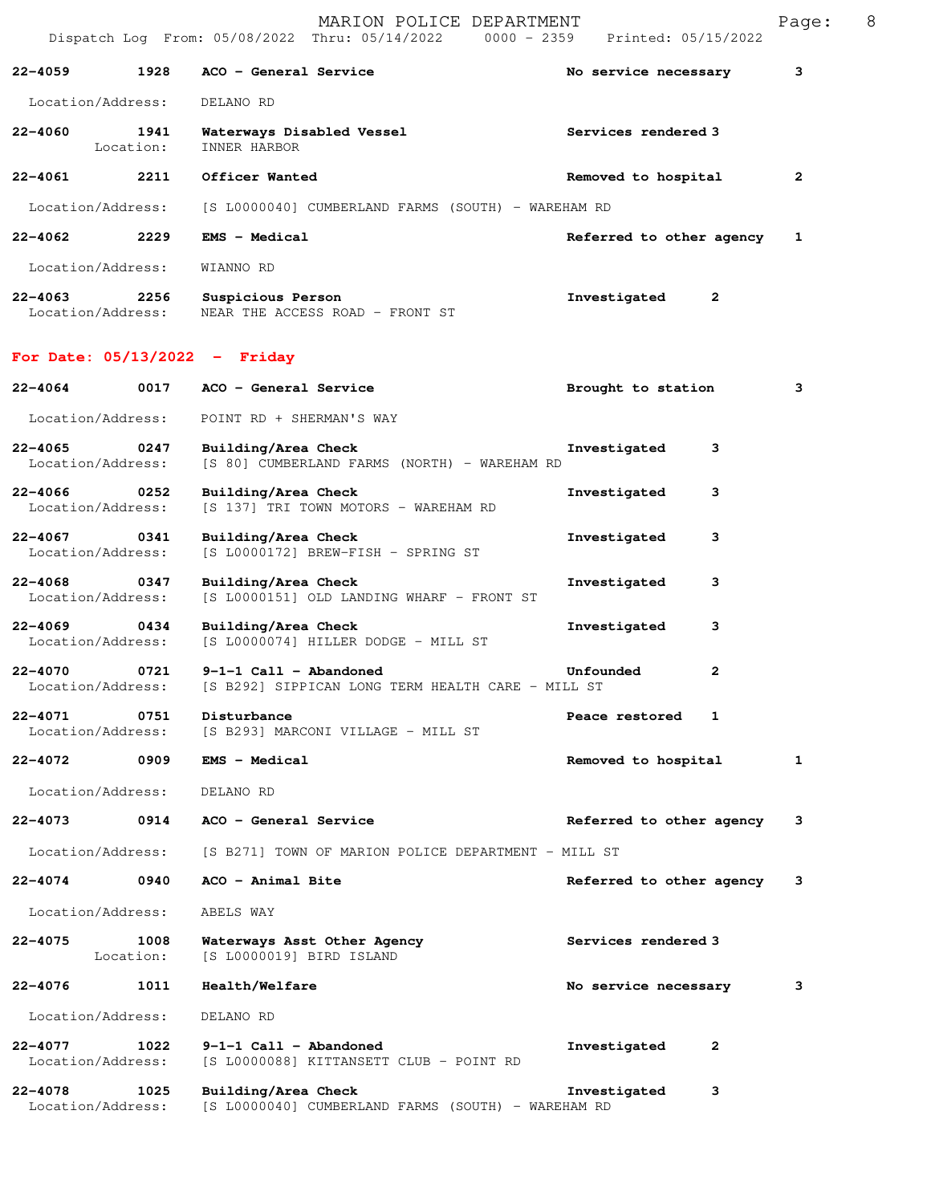|                                   |                   | MARION POLICE DEPARTMENT<br>Dispatch Log From: 05/08/2022 Thru: 05/14/2022 0000 - 2359 Printed: 05/15/2022 |                            |   | Page:        | 8 |
|-----------------------------------|-------------------|------------------------------------------------------------------------------------------------------------|----------------------------|---|--------------|---|
| 22-4059                           | 1928              | ACO - General Service                                                                                      | No service necessary       |   | з            |   |
| Location/Address:                 |                   | DELANO RD                                                                                                  |                            |   |              |   |
| 22-4060                           | 1941<br>Location: | Waterways Disabled Vessel<br>INNER HARBOR                                                                  | <b>Services rendered 3</b> |   |              |   |
| $22 - 4061$                       | 2211              | Officer Wanted                                                                                             | Removed to hospital        |   | $\mathbf{2}$ |   |
| Location/Address:                 |                   | [S L0000040] CUMBERLAND FARMS (SOUTH) - WAREHAM RD                                                         |                            |   |              |   |
| 22–4062 2229                      |                   | <b>EMS - Medical</b>                                                                                       | Referred to other agency   |   | 1            |   |
| Location/Address:                 |                   | WIANNO RD                                                                                                  |                            |   |              |   |
|                                   |                   | 22-4063 2256 Suspicious Person<br>Location/Address: WEAR THE ACCESS ROAD - FRONT ST                        | Investigated               | 2 |              |   |
|                                   |                   | For Date: $05/13/2022 -$ Friday                                                                            |                            |   |              |   |
| $22 - 4064$                       |                   | 0017 ACO - General Service                                                                                 | Brought to station         |   | 3            |   |
| Location/Address:                 |                   | POINT RD + SHERMAN'S WAY                                                                                   |                            |   |              |   |
| $22 - 4065$<br>Location/Address:  | 0247              | Building/Area Check<br>[S 80] CUMBERLAND FARMS (NORTH) - WAREHAM RD                                        | Investigated               | 3 |              |   |
| 22-4066 0252<br>Location/Address: |                   | Building/Area Check<br>[S 137] TRI TOWN MOTORS - WAREHAM RD                                                | Investigated               | 3 |              |   |
| $22 - 4067$<br>Location/Address:  | 0341              | Building/Area Check<br>[S L0000172] BREW-FISH - SPRING ST                                                  | Investigated               | 3 |              |   |
| 22-4068 0347<br>Location/Address: |                   | Building/Area Check<br>[S L0000151] OLD LANDING WHARF - FRONT ST                                           | Investigated               | 3 |              |   |
| $22 - 4069$<br>Location/Address:  | 0434              | Building/Area Check<br>[S L0000074] HILLER DODGE - MILL ST                                                 | Investigated               | 3 |              |   |
| 22-4070<br>Location/Address:      | 0721              | $9-1-1$ Call - Abandoned<br>[S B292] SIPPICAN LONG TERM HEALTH CARE - MILL ST                              | Unfounded                  | 2 |              |   |
| $22 - 4071$<br>Location/Address:  | 0751              | Disturbance<br>[S B293] MARCONI VILLAGE - MILL ST                                                          | Peace restored             | 1 |              |   |
| $22 - 4072$                       | 0909              | $EMS - Medical$                                                                                            | Removed to hospital        |   | 1            |   |
| Location/Address:                 |                   | DELANO RD                                                                                                  |                            |   |              |   |
| $22 - 4073$                       | 0914              | ACO - General Service                                                                                      | Referred to other agency   |   | 3            |   |
| Location/Address:                 |                   | [S B271] TOWN OF MARION POLICE DEPARTMENT - MILL ST                                                        |                            |   |              |   |
| 22-4074                           | 0940              | ACO - Animal Bite                                                                                          | Referred to other agency   |   | 3            |   |
| Location/Address:                 |                   | ABELS WAY                                                                                                  |                            |   |              |   |
| 22-4075                           | 1008<br>Location: | Waterways Asst Other Agency<br>[S L0000019] BIRD ISLAND                                                    | Services rendered 3        |   |              |   |
| 22-4076                           | 1011              | Health/Welfare                                                                                             | No service necessary       |   | 3            |   |
| Location/Address:                 |                   | DELANO RD                                                                                                  |                            |   |              |   |
| 22-4077<br>Location/Address:      | 1022              | $9-1-1$ Call - Abandoned<br>[S L0000088] KITTANSETT CLUB - POINT RD                                        | Investigated               | 2 |              |   |
| $22 - 4078$<br>Location/Address:  | 1025              | Building/Area Check<br>[S L0000040] CUMBERLAND FARMS (SOUTH) - WAREHAM RD                                  | Investigated               | 3 |              |   |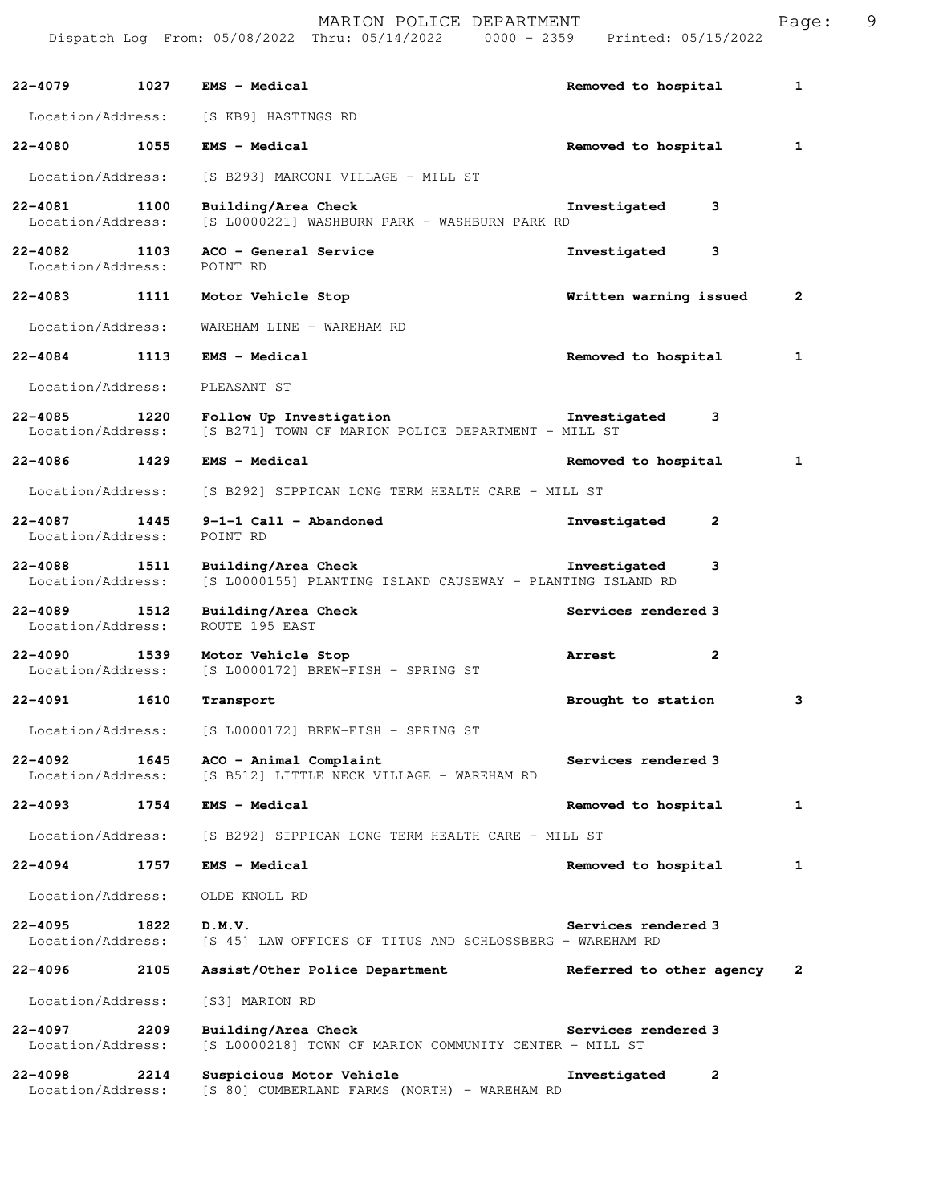Dispatch Log From: 05/08/2022 Thru: 05/14/2022 0000 - 2359 Printed: 05/15/2022 **22-4079 1027 EMS - Medical Removed to hospital 1** Location/Address: [S KB9] HASTINGS RD **22-4080 1055 EMS - Medical Removed to hospital 1** Location/Address: [S B293] MARCONI VILLAGE - MILL ST **22-4081 1100 Building/Area Check Investigated 3**  Location/Address: [S L0000221] WASHBURN PARK - WASHBURN PARK RD **22-4082 1103 ACO - General Service 1103 ACO - General Service** 1103 **Investigated** 3 Location/Address: **22-4083 1111 Motor Vehicle Stop Written warning issued 2** Location/Address: WAREHAM LINE - WAREHAM RD **22-4084 1113 EMS - Medical Removed to hospital 1** Location/Address: PLEASANT ST **22-4085 1220 Follow Up Investigation Investigated 3**  Location/Address: [S B271] TOWN OF MARION POLICE DEPARTMENT - MILL ST **22-4086 1429 EMS - Medical Removed to hospital 1** Location/Address: [S B292] SIPPICAN LONG TERM HEALTH CARE - MILL ST **22-4087 1445 9-1-1 Call - Abandoned Investigated 2**  Location/Address: POINT RD **22-4088 1511 Building/Area Check Investigated 3**  Location/Address: [S L0000155] PLANTING ISLAND CAUSEWAY - PLANTING ISLAND RD **22-4089 1512 Building/Area Check Services rendered 3 Iocation/Address:** ROUTE 195 EAST Location/Address: **22-4090 1539 Motor Vehicle Stop Arrest 2**  Location/Address: [S L0000172] BREW-FISH - SPRING ST **22-4091 1610 Transport Brought to station 3** Location/Address: [S L0000172] BREW-FISH - SPRING ST **22-4092 1645 ACO - Animal Complaint Services rendered 3** <br>Location/Address: [S B512] LITTLE NECK VILLAGE - WAREHAM RD [S B512] LITTLE NECK VILLAGE - WAREHAM RD **22-4093 1754 EMS - Medical Removed to hospital 1** Location/Address: [S B292] SIPPICAN LONG TERM HEALTH CARE - MILL ST 22-4094 1757 EMS - Medical **120 Removed to hospital** 1 Location/Address: OLDE KNOLL RD **22-4095 1822 D.M.V. Services rendered 3**  [S 45] LAW OFFICES OF TITUS AND SCHLOSSBERG - WAREHAM RD **22-4096 2105 Assist/Other Police Department Referred to other agency 2** Location/Address: [S3] MARION RD **22-4097 2209 Building/Area Check Services rendered 3**  Location/Address: [S L0000218] TOWN OF MARION COMMUNITY CENTER - MILL ST **22-4098 2214 Suspicious Motor Vehicle Investigated 2**  Location/Address: [S 80] CUMBERLAND FARMS (NORTH) - WAREHAM RD

MARION POLICE DEPARTMENT Page: 9